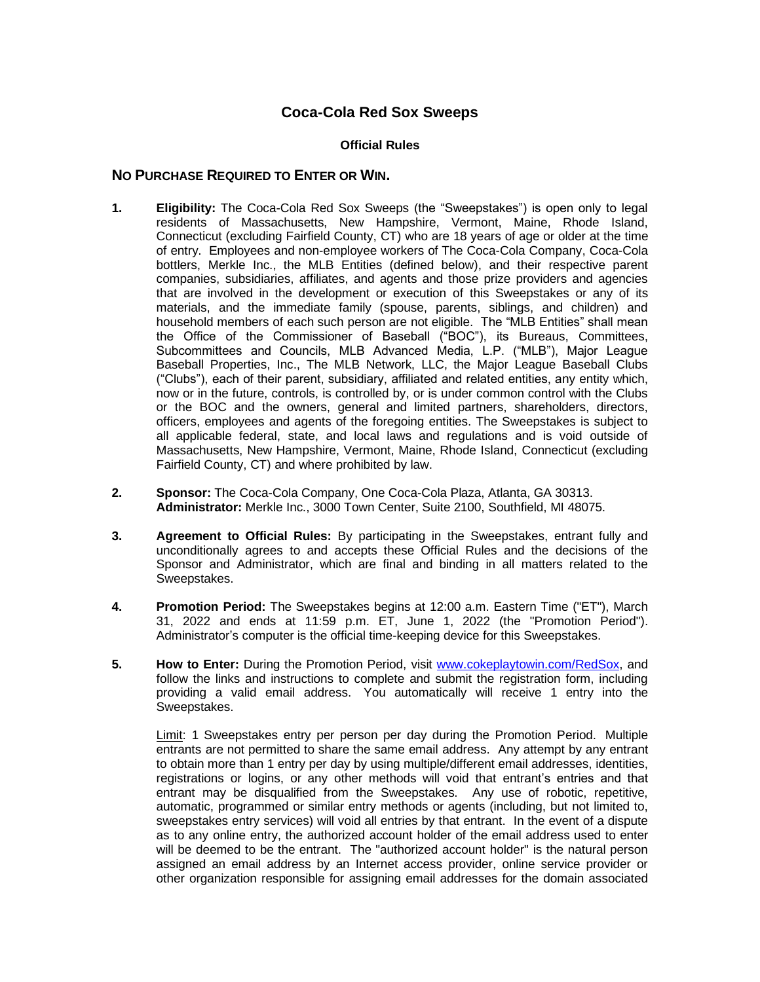## **Coca-Cola Red Sox Sweeps**

## **Official Rules**

## **NO PURCHASE REQUIRED TO ENTER OR WIN.**

- **1. Eligibility:** The Coca-Cola Red Sox Sweeps (the "Sweepstakes") is open only to legal residents of Massachusetts, New Hampshire, Vermont, Maine, Rhode Island, Connecticut (excluding Fairfield County, CT) who are 18 years of age or older at the time of entry. Employees and non-employee workers of The Coca-Cola Company, Coca-Cola bottlers, Merkle Inc., the MLB Entities (defined below), and their respective parent companies, subsidiaries, affiliates, and agents and those prize providers and agencies that are involved in the development or execution of this Sweepstakes or any of its materials, and the immediate family (spouse, parents, siblings, and children) and household members of each such person are not eligible. The "MLB Entities" shall mean the Office of the Commissioner of Baseball ("BOC"), its Bureaus, Committees, Subcommittees and Councils, MLB Advanced Media, L.P. ("MLB"), Major League Baseball Properties, Inc., The MLB Network, LLC, the Major League Baseball Clubs ("Clubs"), each of their parent, subsidiary, affiliated and related entities, any entity which, now or in the future, controls, is controlled by, or is under common control with the Clubs or the BOC and the owners, general and limited partners, shareholders, directors, officers, employees and agents of the foregoing entities. The Sweepstakes is subject to all applicable federal, state, and local laws and regulations and is void outside of Massachusetts, New Hampshire, Vermont, Maine, Rhode Island, Connecticut (excluding Fairfield County, CT) and where prohibited by law.
- **2. Sponsor:** The Coca-Cola Company, One Coca-Cola Plaza, Atlanta, GA 30313. **Administrator:** Merkle Inc., 3000 Town Center, Suite 2100, Southfield, MI 48075.
- **3. Agreement to Official Rules:** By participating in the Sweepstakes, entrant fully and unconditionally agrees to and accepts these Official Rules and the decisions of the Sponsor and Administrator, which are final and binding in all matters related to the Sweepstakes.
- **4. Promotion Period:** The Sweepstakes begins at 12:00 a.m. Eastern Time ("ET"), March 31, 2022 and ends at 11:59 p.m. ET, June 1, 2022 (the "Promotion Period"). Administrator's computer is the official time-keeping device for this Sweepstakes.
- **5. How to Enter:** During the Promotion Period, visit [www.cokeplaytowin.com/RedSox,](http://www.cokeplaytowin.com/redsox/) and follow the links and instructions to complete and submit the registration form, including providing a valid email address. You automatically will receive 1 entry into the Sweepstakes.

Limit: 1 Sweepstakes entry per person per day during the Promotion Period. Multiple entrants are not permitted to share the same email address. Any attempt by any entrant to obtain more than 1 entry per day by using multiple/different email addresses, identities, registrations or logins, or any other methods will void that entrant's entries and that entrant may be disqualified from the Sweepstakes. Any use of robotic, repetitive, automatic, programmed or similar entry methods or agents (including, but not limited to, sweepstakes entry services) will void all entries by that entrant. In the event of a dispute as to any online entry, the authorized account holder of the email address used to enter will be deemed to be the entrant. The "authorized account holder" is the natural person assigned an email address by an Internet access provider, online service provider or other organization responsible for assigning email addresses for the domain associated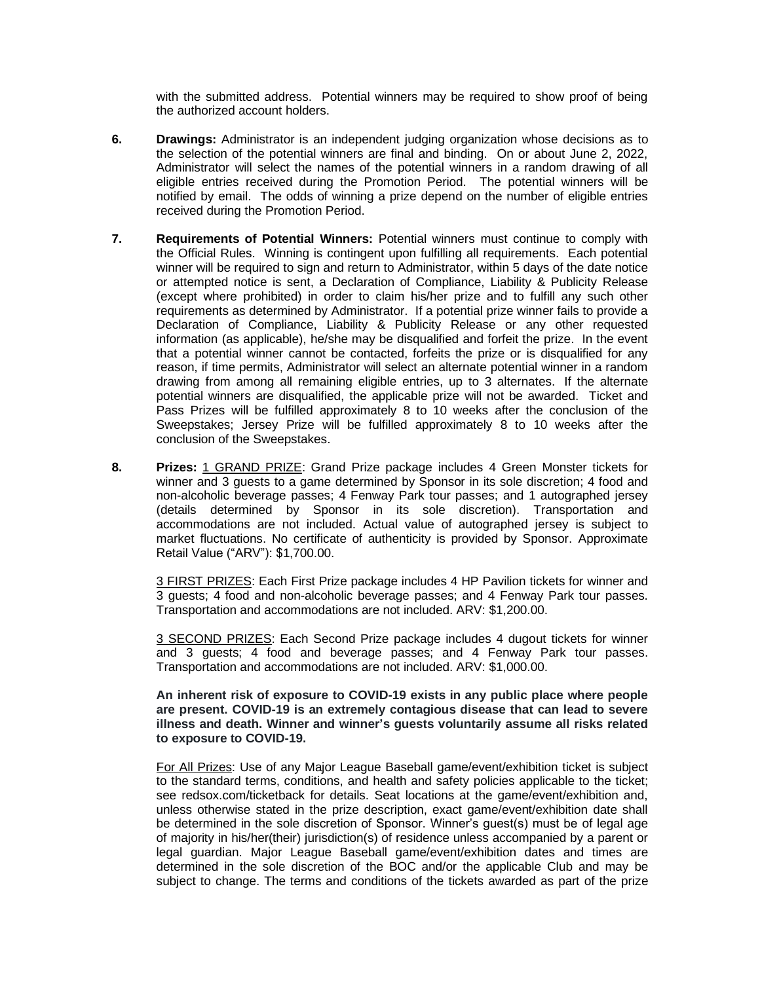with the submitted address. Potential winners may be required to show proof of being the authorized account holders.

- **6. Drawings:** Administrator is an independent judging organization whose decisions as to the selection of the potential winners are final and binding. On or about June 2, 2022, Administrator will select the names of the potential winners in a random drawing of all eligible entries received during the Promotion Period. The potential winners will be notified by email. The odds of winning a prize depend on the number of eligible entries received during the Promotion Period.
- **7. Requirements of Potential Winners:** Potential winners must continue to comply with the Official Rules. Winning is contingent upon fulfilling all requirements. Each potential winner will be required to sign and return to Administrator, within 5 days of the date notice or attempted notice is sent, a Declaration of Compliance, Liability & Publicity Release (except where prohibited) in order to claim his/her prize and to fulfill any such other requirements as determined by Administrator. If a potential prize winner fails to provide a Declaration of Compliance, Liability & Publicity Release or any other requested information (as applicable), he/she may be disqualified and forfeit the prize. In the event that a potential winner cannot be contacted, forfeits the prize or is disqualified for any reason, if time permits, Administrator will select an alternate potential winner in a random drawing from among all remaining eligible entries, up to 3 alternates. If the alternate potential winners are disqualified, the applicable prize will not be awarded. Ticket and Pass Prizes will be fulfilled approximately 8 to 10 weeks after the conclusion of the Sweepstakes; Jersey Prize will be fulfilled approximately 8 to 10 weeks after the conclusion of the Sweepstakes.
- **8. Prizes:** 1 GRAND PRIZE: Grand Prize package includes 4 Green Monster tickets for winner and 3 guests to a game determined by Sponsor in its sole discretion; 4 food and non-alcoholic beverage passes; 4 Fenway Park tour passes; and 1 autographed jersey (details determined by Sponsor in its sole discretion). Transportation and accommodations are not included. Actual value of autographed jersey is subject to market fluctuations. No certificate of authenticity is provided by Sponsor. Approximate Retail Value ("ARV"): \$1,700.00.

3 FIRST PRIZES: Each First Prize package includes 4 HP Pavilion tickets for winner and 3 guests; 4 food and non-alcoholic beverage passes; and 4 Fenway Park tour passes. Transportation and accommodations are not included. ARV: \$1,200.00.

3 SECOND PRIZES: Each Second Prize package includes 4 dugout tickets for winner and 3 guests; 4 food and beverage passes; and 4 Fenway Park tour passes. Transportation and accommodations are not included. ARV: \$1,000.00.

**An inherent risk of exposure to COVID-19 exists in any public place where people are present. COVID-19 is an extremely contagious disease that can lead to severe illness and death. Winner and winner's guests voluntarily assume all risks related to exposure to COVID-19.**

For All Prizes: Use of any Major League Baseball game/event/exhibition ticket is subject to the standard terms, conditions, and health and safety policies applicable to the ticket; see redsox.com/ticketback for details. Seat locations at the game/event/exhibition and, unless otherwise stated in the prize description, exact game/event/exhibition date shall be determined in the sole discretion of Sponsor. Winner's guest(s) must be of legal age of majority in his/her(their) jurisdiction(s) of residence unless accompanied by a parent or legal guardian. Major League Baseball game/event/exhibition dates and times are determined in the sole discretion of the BOC and/or the applicable Club and may be subject to change. The terms and conditions of the tickets awarded as part of the prize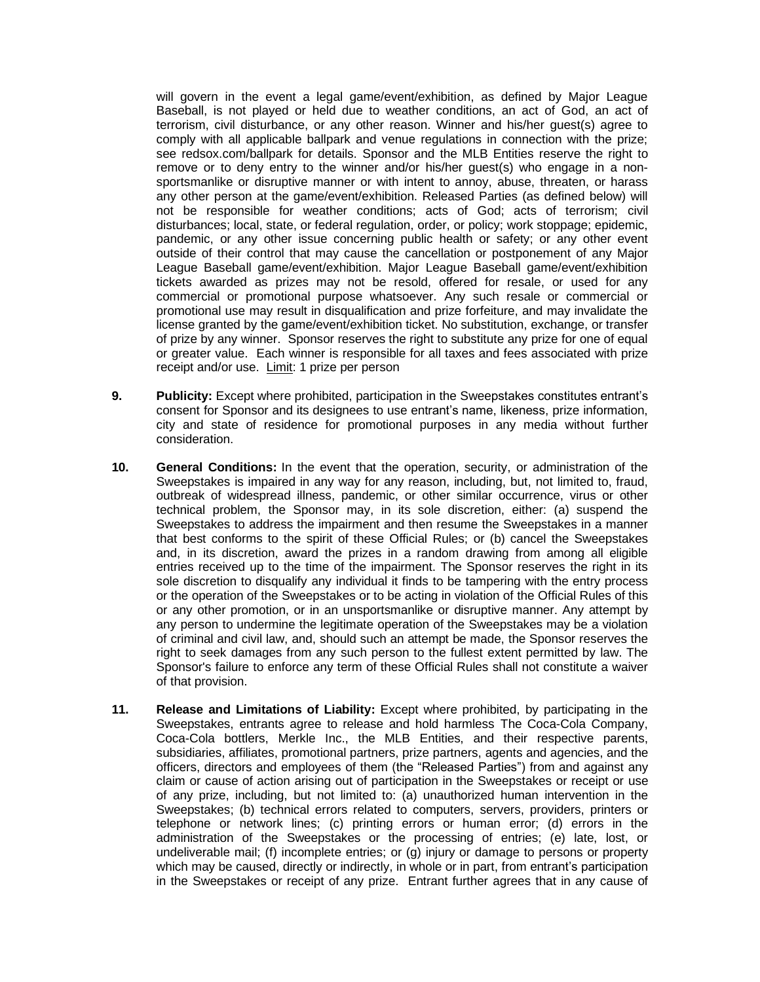will govern in the event a legal game/event/exhibition, as defined by Major League Baseball, is not played or held due to weather conditions, an act of God, an act of terrorism, civil disturbance, or any other reason. Winner and his/her guest(s) agree to comply with all applicable ballpark and venue regulations in connection with the prize; see redsox.com/ballpark for details. Sponsor and the MLB Entities reserve the right to remove or to deny entry to the winner and/or his/her guest(s) who engage in a nonsportsmanlike or disruptive manner or with intent to annoy, abuse, threaten, or harass any other person at the game/event/exhibition. Released Parties (as defined below) will not be responsible for weather conditions; acts of God; acts of terrorism; civil disturbances; local, state, or federal regulation, order, or policy; work stoppage; epidemic, pandemic, or any other issue concerning public health or safety; or any other event outside of their control that may cause the cancellation or postponement of any Major League Baseball game/event/exhibition. Major League Baseball game/event/exhibition tickets awarded as prizes may not be resold, offered for resale, or used for any commercial or promotional purpose whatsoever. Any such resale or commercial or promotional use may result in disqualification and prize forfeiture, and may invalidate the license granted by the game/event/exhibition ticket. No substitution, exchange, or transfer of prize by any winner. Sponsor reserves the right to substitute any prize for one of equal or greater value. Each winner is responsible for all taxes and fees associated with prize receipt and/or use. Limit: 1 prize per person

- **9. Publicity:** Except where prohibited, participation in the Sweepstakes constitutes entrant's consent for Sponsor and its designees to use entrant's name, likeness, prize information, city and state of residence for promotional purposes in any media without further consideration.
- **10. General Conditions:** In the event that the operation, security, or administration of the Sweepstakes is impaired in any way for any reason, including, but, not limited to, fraud, outbreak of widespread illness, pandemic, or other similar occurrence, virus or other technical problem, the Sponsor may, in its sole discretion, either: (a) suspend the Sweepstakes to address the impairment and then resume the Sweepstakes in a manner that best conforms to the spirit of these Official Rules; or (b) cancel the Sweepstakes and, in its discretion, award the prizes in a random drawing from among all eligible entries received up to the time of the impairment. The Sponsor reserves the right in its sole discretion to disqualify any individual it finds to be tampering with the entry process or the operation of the Sweepstakes or to be acting in violation of the Official Rules of this or any other promotion, or in an unsportsmanlike or disruptive manner. Any attempt by any person to undermine the legitimate operation of the Sweepstakes may be a violation of criminal and civil law, and, should such an attempt be made, the Sponsor reserves the right to seek damages from any such person to the fullest extent permitted by law. The Sponsor's failure to enforce any term of these Official Rules shall not constitute a waiver of that provision.
- **11. Release and Limitations of Liability:** Except where prohibited, by participating in the Sweepstakes, entrants agree to release and hold harmless The Coca-Cola Company, Coca-Cola bottlers, Merkle Inc., the MLB Entities, and their respective parents, subsidiaries, affiliates, promotional partners, prize partners, agents and agencies, and the officers, directors and employees of them (the "Released Parties") from and against any claim or cause of action arising out of participation in the Sweepstakes or receipt or use of any prize, including, but not limited to: (a) unauthorized human intervention in the Sweepstakes; (b) technical errors related to computers, servers, providers, printers or telephone or network lines; (c) printing errors or human error; (d) errors in the administration of the Sweepstakes or the processing of entries; (e) late, lost, or undeliverable mail; (f) incomplete entries; or (g) injury or damage to persons or property which may be caused, directly or indirectly, in whole or in part, from entrant's participation in the Sweepstakes or receipt of any prize. Entrant further agrees that in any cause of